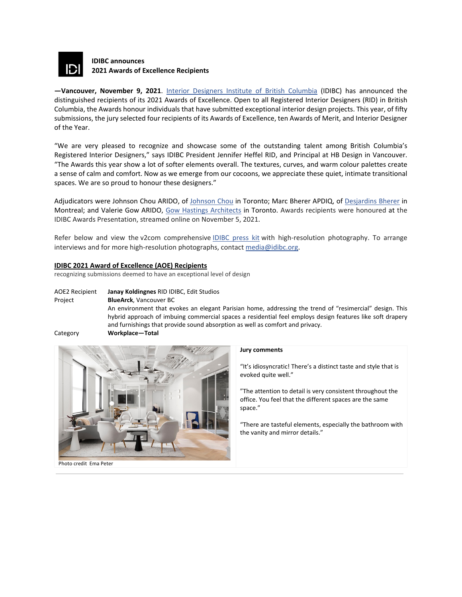

# **IDIBC announces 2021 Awards of Excellence Recipients**

**—Vancouver, November 9, 2021**. [Interior Designers Institute of British Columbia](https://www.idibc.org/) (IDIBC) has announced the distinguished recipients of its 2021 Awards of Excellence. Open to all Registered Interior Designers (RID) in British Columbia, the Awards honour individuals that have submitted exceptional interior design projects. This year, of fifty submissions, the jury selected four recipients of its Awards of Excellence, ten Awards of Merit, and Interior Designer of the Year.

"We are very pleased to recognize and showcase some of the outstanding talent among British Columbia's Registered Interior Designers," says IDIBC President Jennifer Heffel RID, and Principal at HB Design in Vancouver. "The Awards this year show a lot of softer elements overall. The textures, curves, and warm colour palettes create a sense of calm and comfort. Now as we emerge from our cocoons, we appreciate these quiet, intimate transitional spaces. We are so proud to honour these designers."

Adjudicators were Johnson Chou ARIDO, of [Johnson Chou](https://www.johnsonchou.com/) in Toronto; Marc Bherer APDIQ, of [Desjardins Bherer](https://www.desjardinsbherer.com/) in Montreal; and Valerie Gow ARIDO, [Gow Hastings Architects](http://gowhastings.com/) in Toronto. Awards recipients were honoured at the IDIBC Awards Presentation, streamed online on November 5, 2021.

Refer below and view the v2com comprehensive [IDIBC press kit](https://www.v2com-newswire.com/en/newsroom/categories/commercial-interior-design/press-kits/2973-01/idibc-announces-2021-awards-of-excellence-recipients) with high-resolution photography. To arrange interviews and for more high-resolution photographs, contact [media@idibc.org.](mailto:media@idibc.org)

# **IDIBC 2021 Award of Excellence (AOE) Recipients**

recognizing submissions deemed to have an exceptional level of design

AOE2 Recipient **Janay Koldingnes** RID IDIBC, Edit Studios Project **BlueArck**, Vancouver BC An environment that evokes an elegant Parisian home, addressing the trend of "resimercial" design. This hybrid approach of imbuing commercial spaces a residential feel employs design features like soft drapery and furnishings that provide sound absorption as well as comfort and privacy. Category **Workplace—Total**



### **Jury comments**

"It's idiosyncratic! There's a distinct taste and style that is evoked quite well."

"The attention to detail is very consistent throughout the office. You feel that the different spaces are the same space."

"There are tasteful elements, especially the bathroom with the vanity and mirror details."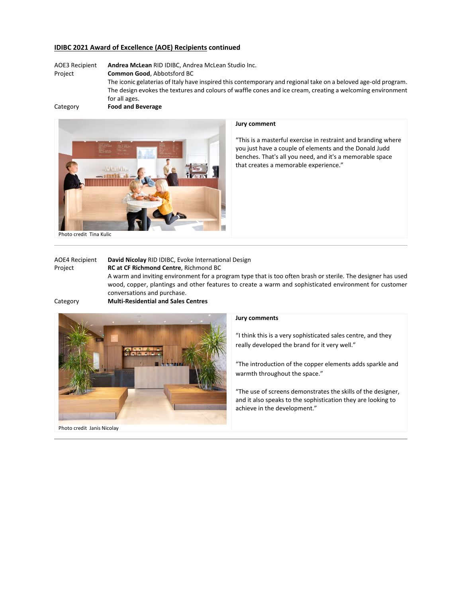# **IDIBC 2021 Award of Excellence (AOE) Recipients continued**

AOE3 Recipient **Andrea McLean** RID IDIBC, Andrea McLean Studio Inc. Project **Common Good**, Abbotsford BC The iconic gelaterias of Italy have inspired this contemporary and regional take on a beloved age-old program. The design evokes the textures and colours of waffle cones and ice cream, creating a welcoming environment for all ages. Category **Food and Beverage**





### **Jury comment**

"This is a masterful exercise in restraint and branding where you just have a couple of elements and the Donald Judd benches. That's all you need, and it's a memorable space that creates a memorable experience."

Photo credit Tina Kulic

| <b>AOE4 Recipient</b>                                | David Nicolay RID IDIBC, Evoke International Design                                                                                                                                                                                                   |
|------------------------------------------------------|-------------------------------------------------------------------------------------------------------------------------------------------------------------------------------------------------------------------------------------------------------|
| Project                                              | <b>RC at CF Richmond Centre, Richmond BC</b>                                                                                                                                                                                                          |
|                                                      | A warm and inviting environment for a program type that is too often brash or sterile. The designer has used<br>wood, copper, plantings and other features to create a warm and sophisticated environment for customer<br>conversations and purchase. |
| $\mathcal{O}$ is the set of the set of $\mathcal{O}$ | <b>Admiral Department of the Holden Common</b>                                                                                                                                                                                                        |

Category **Multi-Residential and Sales Centres**



## **Jury comments**

"I think this is a very sophisticated sales centre, and they really developed the brand for it very well."

"The introduction of the copper elements adds sparkle and warmth throughout the space."

"The use of screens demonstrates the skills of the designer, and it also speaks to the sophistication they are looking to achieve in the development."

Photo credit Janis Nicolay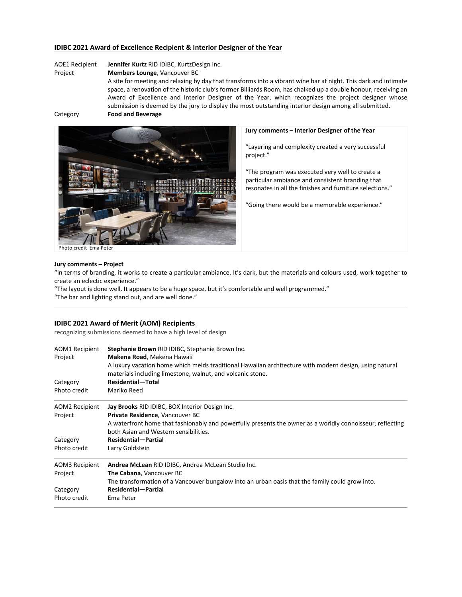# **IDIBC 2021 Award of Excellence Recipient & Interior Designer of the Year**

AOE1 Recipient **Jennifer Kurtz** RID IDIBC, KurtzDesign Inc.

#### Project **Members Lounge**, Vancouver BC

A site for meeting and relaxing by day that transforms into a vibrant wine bar at night. This dark and intimate space, a renovation of the historic club's former Billiards Room, has chalked up a double honour, receiving an Award of Excellence and Interior Designer of the Year, which recognizes the project designer whose submission is deemed by the jury to display the most outstanding interior design among all submitted. Category **Food and Beverage**



#### **Jury comments – Interior Designer of the Year**

"Layering and complexity created a very successful project."

"The program was executed very well to create a particular ambiance and consistent branding that resonates in all the finishes and furniture selections."

"Going there would be a memorable experience."

Photo credit Ema Peter

#### **Jury comments – Project**

"In terms of branding, it works to create a particular ambiance. It's dark, but the materials and colours used, work together to create an eclectic experience."

"The layout is done well. It appears to be a huge space, but it's comfortable and well programmed."

"The bar and lighting stand out, and are well done."

### **IDIBC 2021 Award of Merit (AOM) Recipients**

recognizing submissions deemed to have a high level of design

| <b>AOM1 Recipient</b><br>Project<br>Category | Stephanie Brown RID IDIBC, Stephanie Brown Inc.<br>Makena Road, Makena Hawaii<br>A luxury vacation home which melds traditional Hawaiian architecture with modern design, using natural<br>materials including limestone, walnut, and volcanic stone.<br>Residential-Total |
|----------------------------------------------|----------------------------------------------------------------------------------------------------------------------------------------------------------------------------------------------------------------------------------------------------------------------------|
|                                              |                                                                                                                                                                                                                                                                            |
| AOM2 Recipient                               | Jay Brooks RID IDIBC, BOX Interior Design Inc.                                                                                                                                                                                                                             |
| Project                                      | Private Residence, Vancouver BC                                                                                                                                                                                                                                            |
|                                              | A waterfront home that fashionably and powerfully presents the owner as a worldly connoisseur, reflecting                                                                                                                                                                  |
|                                              | both Asian and Western sensibilities.                                                                                                                                                                                                                                      |
| Category                                     | <b>Residential-Partial</b>                                                                                                                                                                                                                                                 |
| Photo credit                                 | Larry Goldstein                                                                                                                                                                                                                                                            |
| AOM3 Recipient                               | Andrea McLean RID IDIBC, Andrea McLean Studio Inc.                                                                                                                                                                                                                         |
| Project                                      | The Cabana, Vancouver BC                                                                                                                                                                                                                                                   |
|                                              | The transformation of a Vancouver bungalow into an urban oasis that the family could grow into.                                                                                                                                                                            |
| Category                                     | <b>Residential-Partial</b>                                                                                                                                                                                                                                                 |
| Photo credit                                 | Ema Peter                                                                                                                                                                                                                                                                  |